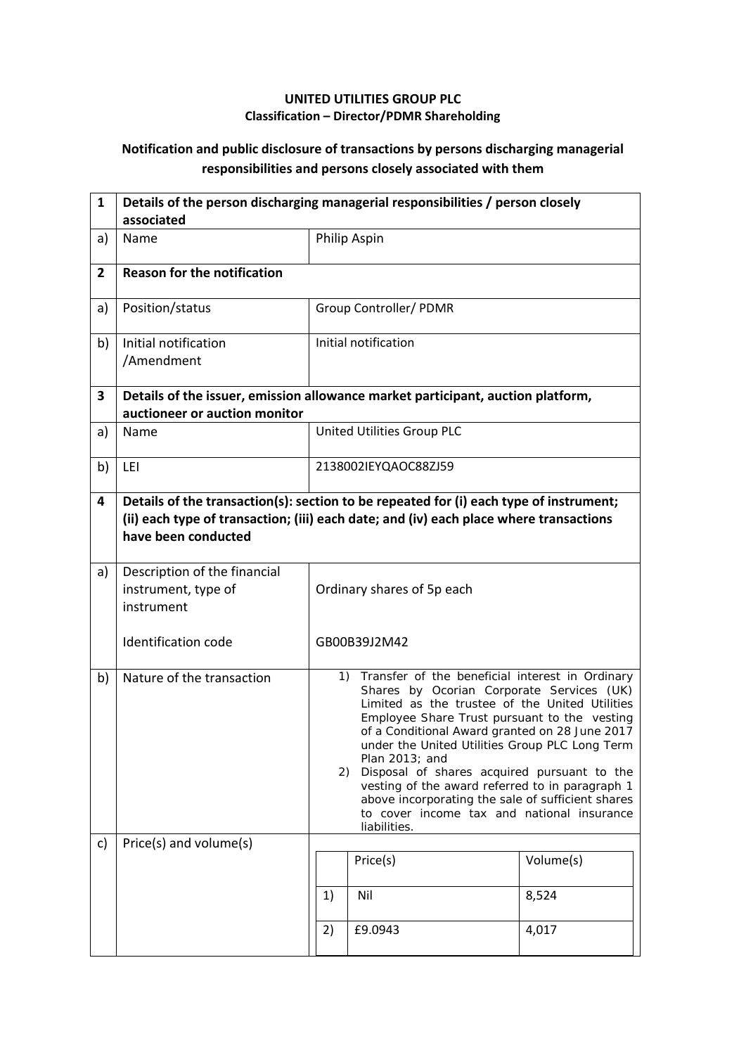## **UNITED UTILITIES GROUP PLC Classification – Director/PDMR Shareholding**

## **Notification and public disclosure of transactions by persons discharging managerial responsibilities and persons closely associated with them**

| $\mathbf{1}$   | Details of the person discharging managerial responsibilities / person closely<br>associated                     |                                                                                                                                                                                                                                                                                                                                                                                                                                                                                                                                                     |                            |  |  |  |
|----------------|------------------------------------------------------------------------------------------------------------------|-----------------------------------------------------------------------------------------------------------------------------------------------------------------------------------------------------------------------------------------------------------------------------------------------------------------------------------------------------------------------------------------------------------------------------------------------------------------------------------------------------------------------------------------------------|----------------------------|--|--|--|
| a)             | Name                                                                                                             |                                                                                                                                                                                                                                                                                                                                                                                                                                                                                                                                                     | Philip Aspin               |  |  |  |
| $\overline{2}$ | <b>Reason for the notification</b>                                                                               |                                                                                                                                                                                                                                                                                                                                                                                                                                                                                                                                                     |                            |  |  |  |
| a)             | Position/status                                                                                                  |                                                                                                                                                                                                                                                                                                                                                                                                                                                                                                                                                     | Group Controller/ PDMR     |  |  |  |
| b)             | Initial notification<br>/Amendment                                                                               |                                                                                                                                                                                                                                                                                                                                                                                                                                                                                                                                                     | Initial notification       |  |  |  |
| 3              | Details of the issuer, emission allowance market participant, auction platform,<br>auctioneer or auction monitor |                                                                                                                                                                                                                                                                                                                                                                                                                                                                                                                                                     |                            |  |  |  |
| a)             | Name                                                                                                             |                                                                                                                                                                                                                                                                                                                                                                                                                                                                                                                                                     | United Utilities Group PLC |  |  |  |
| b)             | LEI                                                                                                              | 2138002IEYQAOC88ZJ59                                                                                                                                                                                                                                                                                                                                                                                                                                                                                                                                |                            |  |  |  |
| 4              | have been conducted                                                                                              | Details of the transaction(s): section to be repeated for (i) each type of instrument;<br>(ii) each type of transaction; (iii) each date; and (iv) each place where transactions                                                                                                                                                                                                                                                                                                                                                                    |                            |  |  |  |
| a)             | Description of the financial<br>instrument, type of<br>instrument                                                | Ordinary shares of 5p each                                                                                                                                                                                                                                                                                                                                                                                                                                                                                                                          |                            |  |  |  |
|                | Identification code                                                                                              |                                                                                                                                                                                                                                                                                                                                                                                                                                                                                                                                                     | GB00B39J2M42               |  |  |  |
| b)             | Nature of the transaction                                                                                        | 1) Transfer of the beneficial interest in Ordinary<br>Shares by Ocorian Corporate Services (UK)<br>Limited as the trustee of the United Utilities<br>Employee Share Trust pursuant to the vesting<br>of a Conditional Award granted on 28 June 2017<br>under the United Utilities Group PLC Long Term<br>Plan 2013; and<br>Disposal of shares acquired pursuant to the<br>2).<br>vesting of the award referred to in paragraph 1<br>above incorporating the sale of sufficient shares<br>to cover income tax and national insurance<br>liabilities. |                            |  |  |  |
| c)             | Price(s) and volume(s)                                                                                           | Volume(s)<br>Price(s)                                                                                                                                                                                                                                                                                                                                                                                                                                                                                                                               |                            |  |  |  |
|                |                                                                                                                  | Nil<br>1)                                                                                                                                                                                                                                                                                                                                                                                                                                                                                                                                           |                            |  |  |  |
|                |                                                                                                                  | 2)                                                                                                                                                                                                                                                                                                                                                                                                                                                                                                                                                  | 8,524<br>£9.0943<br>4,017  |  |  |  |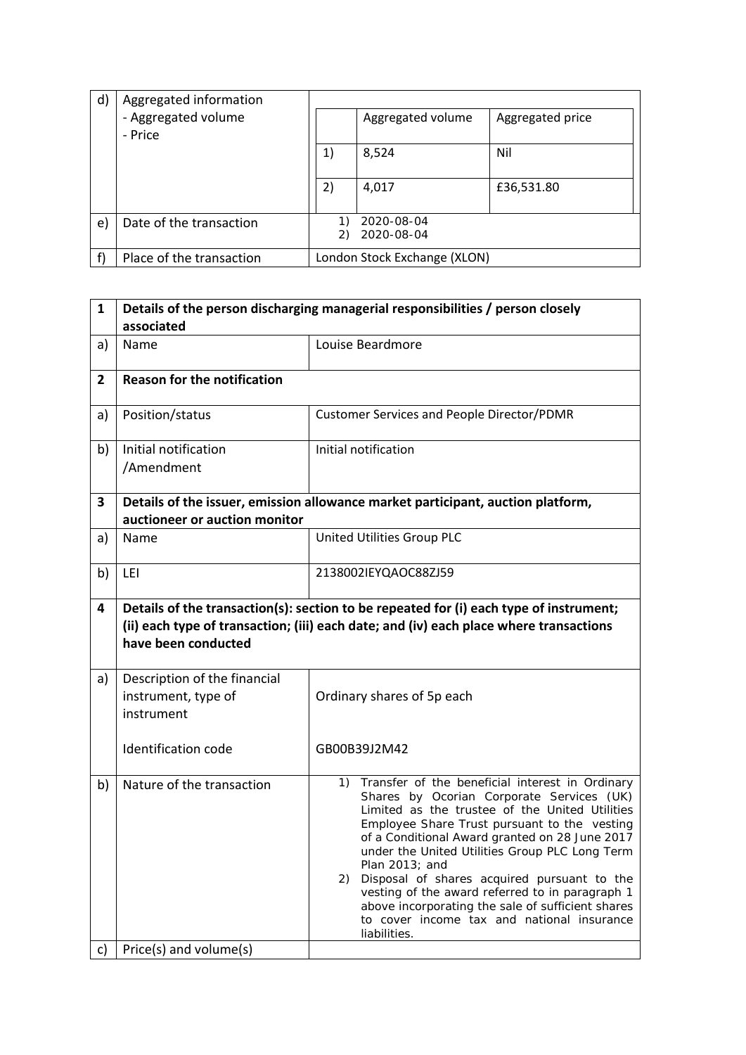| d) | Aggregated information   |    |                              |                  |
|----|--------------------------|----|------------------------------|------------------|
|    | - Aggregated volume      |    | Aggregated volume            | Aggregated price |
|    | - Price                  |    |                              |                  |
|    |                          | 1) | 8,524                        | Nil              |
|    |                          |    |                              |                  |
|    |                          | 2) | 4,017                        | £36,531.80       |
|    |                          |    |                              |                  |
| e) | Date of the transaction  |    | 2020-08-04                   |                  |
|    |                          | 2) | 2020-08-04                   |                  |
|    | Place of the transaction |    | London Stock Exchange (XLON) |                  |

| $\mathbf{1}$   | Details of the person discharging managerial responsibilities / person closely<br>associated |                                                                                                                                                                                                                                                                                                                                                                                                                                                                                                                                                        |  |  |  |
|----------------|----------------------------------------------------------------------------------------------|--------------------------------------------------------------------------------------------------------------------------------------------------------------------------------------------------------------------------------------------------------------------------------------------------------------------------------------------------------------------------------------------------------------------------------------------------------------------------------------------------------------------------------------------------------|--|--|--|
| a)             | Name                                                                                         | Louise Beardmore                                                                                                                                                                                                                                                                                                                                                                                                                                                                                                                                       |  |  |  |
| $\overline{2}$ | <b>Reason for the notification</b>                                                           |                                                                                                                                                                                                                                                                                                                                                                                                                                                                                                                                                        |  |  |  |
| a)             | Position/status                                                                              | <b>Customer Services and People Director/PDMR</b>                                                                                                                                                                                                                                                                                                                                                                                                                                                                                                      |  |  |  |
| b)             | Initial notification<br>/Amendment                                                           | Initial notification                                                                                                                                                                                                                                                                                                                                                                                                                                                                                                                                   |  |  |  |
| 3              | auctioneer or auction monitor                                                                | Details of the issuer, emission allowance market participant, auction platform,                                                                                                                                                                                                                                                                                                                                                                                                                                                                        |  |  |  |
| a)             | Name                                                                                         | United Utilities Group PLC                                                                                                                                                                                                                                                                                                                                                                                                                                                                                                                             |  |  |  |
| b)             | LEI                                                                                          | 2138002IEYQAOC88ZJ59                                                                                                                                                                                                                                                                                                                                                                                                                                                                                                                                   |  |  |  |
| 4              | have been conducted                                                                          | Details of the transaction(s): section to be repeated for (i) each type of instrument;<br>(ii) each type of transaction; (iii) each date; and (iv) each place where transactions                                                                                                                                                                                                                                                                                                                                                                       |  |  |  |
| a)             | Description of the financial<br>instrument, type of<br>instrument                            | Ordinary shares of 5p each                                                                                                                                                                                                                                                                                                                                                                                                                                                                                                                             |  |  |  |
|                | <b>Identification code</b>                                                                   | GB00B39J2M42                                                                                                                                                                                                                                                                                                                                                                                                                                                                                                                                           |  |  |  |
| b)             | Nature of the transaction                                                                    | Transfer of the beneficial interest in Ordinary<br>1)<br>Shares by Ocorian Corporate Services (UK)<br>Limited as the trustee of the United Utilities<br>Employee Share Trust pursuant to the vesting<br>of a Conditional Award granted on 28 June 2017<br>under the United Utilities Group PLC Long Term<br>Plan 2013; and<br>Disposal of shares acquired pursuant to the<br>(2)<br>vesting of the award referred to in paragraph 1<br>above incorporating the sale of sufficient shares<br>to cover income tax and national insurance<br>liabilities. |  |  |  |
| C)             | Price(s) and volume(s)                                                                       |                                                                                                                                                                                                                                                                                                                                                                                                                                                                                                                                                        |  |  |  |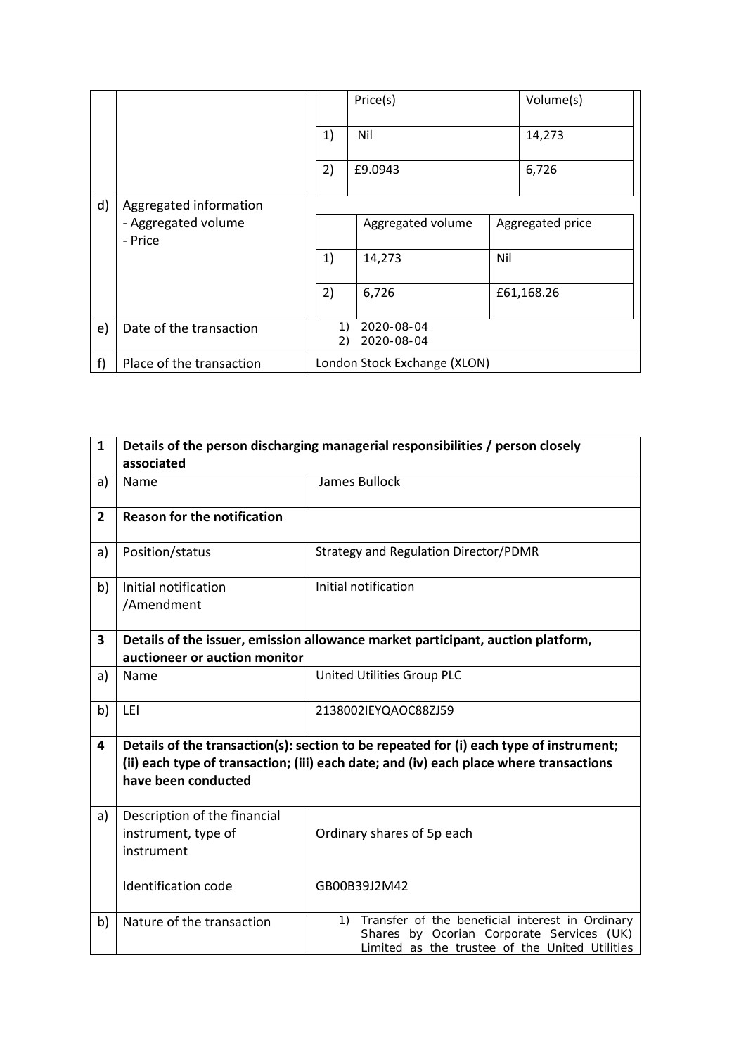|              |                                |          | Price(s)                     | Volume(s)        |  |
|--------------|--------------------------------|----------|------------------------------|------------------|--|
|              |                                | 1)       | Nil                          | 14,273           |  |
|              |                                | 2)       | £9.0943                      | 6,726            |  |
| $\mathsf{d}$ | Aggregated information         |          |                              |                  |  |
|              | - Aggregated volume<br>- Price |          | Aggregated volume            | Aggregated price |  |
|              |                                | 1)       | 14,273                       | Nil              |  |
|              |                                | 2)       | 6,726                        | £61,168.26       |  |
| e)           | Date of the transaction        | 1)<br>2) | 2020-08-04<br>2020-08-04     |                  |  |
| f            | Place of the transaction       |          | London Stock Exchange (XLON) |                  |  |

| $\mathbf{1}$   | Details of the person discharging managerial responsibilities / person closely<br>associated                  |                                                                                                                                                                                                  |  |  |  |
|----------------|---------------------------------------------------------------------------------------------------------------|--------------------------------------------------------------------------------------------------------------------------------------------------------------------------------------------------|--|--|--|
| a)             | Name                                                                                                          | James Bullock                                                                                                                                                                                    |  |  |  |
| $\overline{2}$ | <b>Reason for the notification</b>                                                                            |                                                                                                                                                                                                  |  |  |  |
| a)             | Position/status                                                                                               | <b>Strategy and Regulation Director/PDMR</b>                                                                                                                                                     |  |  |  |
| b)             | Initial notification<br>/Amendment                                                                            | Initial notification                                                                                                                                                                             |  |  |  |
| 3              | auctioneer or auction monitor                                                                                 | Details of the issuer, emission allowance market participant, auction platform,                                                                                                                  |  |  |  |
| a)             | Name                                                                                                          | United Utilities Group PLC                                                                                                                                                                       |  |  |  |
| b)             | LEI                                                                                                           | 2138002IEYQAOC88ZJ59                                                                                                                                                                             |  |  |  |
| 4              | Details of the transaction(s): section to be repeated for (i) each type of instrument;                        |                                                                                                                                                                                                  |  |  |  |
|                | (ii) each type of transaction; (iii) each date; and (iv) each place where transactions<br>have been conducted |                                                                                                                                                                                                  |  |  |  |
| a)             | Description of the financial<br>instrument, type of<br>instrument                                             | Ordinary shares of 5p each                                                                                                                                                                       |  |  |  |
|                | Identification code                                                                                           | GB00B39J2M42                                                                                                                                                                                     |  |  |  |
| b)             | Nature of the transaction                                                                                     | Transfer of the beneficial interest in Ordinary<br>$\left( \begin{matrix} 1 \end{matrix} \right)$<br>Shares by Ocorian Corporate Services (UK)<br>Limited as the trustee of the United Utilities |  |  |  |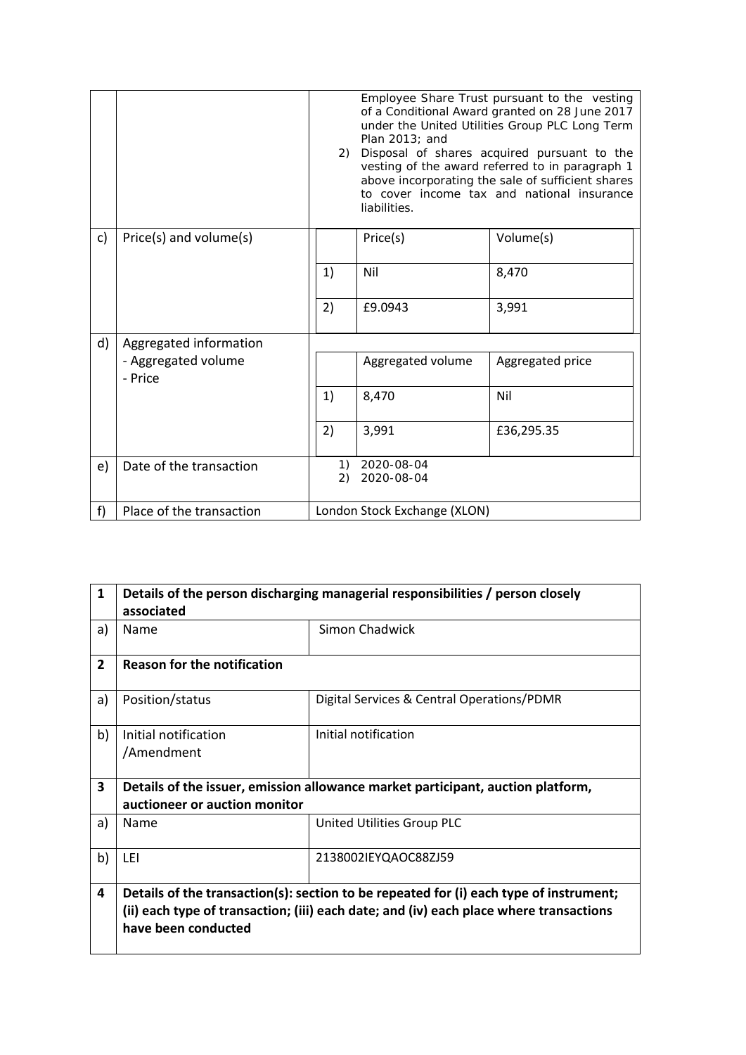|    |                                | 2)       | Employee Share Trust pursuant to the vesting<br>of a Conditional Award granted on 28 June 2017<br>under the United Utilities Group PLC Long Term<br>Plan $2013$ ; and<br>Disposal of shares acquired pursuant to the<br>vesting of the award referred to in paragraph 1<br>above incorporating the sale of sufficient shares<br>to cover income tax and national insurance<br>liabilities. |                  |  |
|----|--------------------------------|----------|--------------------------------------------------------------------------------------------------------------------------------------------------------------------------------------------------------------------------------------------------------------------------------------------------------------------------------------------------------------------------------------------|------------------|--|
| c) | Price(s) and volume(s)         |          | Price(s)                                                                                                                                                                                                                                                                                                                                                                                   | Volume(s)        |  |
|    |                                | 1)       | Nil                                                                                                                                                                                                                                                                                                                                                                                        | 8,470            |  |
|    |                                | 2)       | £9.0943                                                                                                                                                                                                                                                                                                                                                                                    | 3,991            |  |
| d) | Aggregated information         |          |                                                                                                                                                                                                                                                                                                                                                                                            |                  |  |
|    | - Aggregated volume<br>- Price |          | Aggregated volume                                                                                                                                                                                                                                                                                                                                                                          | Aggregated price |  |
|    |                                | 1)       | 8,470                                                                                                                                                                                                                                                                                                                                                                                      | Nil              |  |
|    |                                | 2)       | 3,991                                                                                                                                                                                                                                                                                                                                                                                      | £36,295.35       |  |
| e) | Date of the transaction        | 1)<br>2) | 2020-08-04<br>2020-08-04                                                                                                                                                                                                                                                                                                                                                                   |                  |  |
| f  | Place of the transaction       |          | London Stock Exchange (XLON)                                                                                                                                                                                                                                                                                                                                                               |                  |  |

| 1              | Details of the person discharging managerial responsibilities / person closely<br>associated                                                                                                            |                                                                                 |  |  |  |  |
|----------------|---------------------------------------------------------------------------------------------------------------------------------------------------------------------------------------------------------|---------------------------------------------------------------------------------|--|--|--|--|
| a)             | Name                                                                                                                                                                                                    | Simon Chadwick                                                                  |  |  |  |  |
| $\overline{2}$ | <b>Reason for the notification</b>                                                                                                                                                                      |                                                                                 |  |  |  |  |
| a)             | Position/status                                                                                                                                                                                         | Digital Services & Central Operations/PDMR                                      |  |  |  |  |
| b)             | Initial notification<br>/Amendment                                                                                                                                                                      | Initial notification                                                            |  |  |  |  |
| 3              | auctioneer or auction monitor                                                                                                                                                                           | Details of the issuer, emission allowance market participant, auction platform, |  |  |  |  |
| a)             | Name                                                                                                                                                                                                    | United Utilities Group PLC                                                      |  |  |  |  |
| b)             | LEI                                                                                                                                                                                                     | 2138002IEYQAOC88ZJ59                                                            |  |  |  |  |
| 4              | Details of the transaction(s): section to be repeated for (i) each type of instrument;<br>(ii) each type of transaction; (iii) each date; and (iv) each place where transactions<br>have been conducted |                                                                                 |  |  |  |  |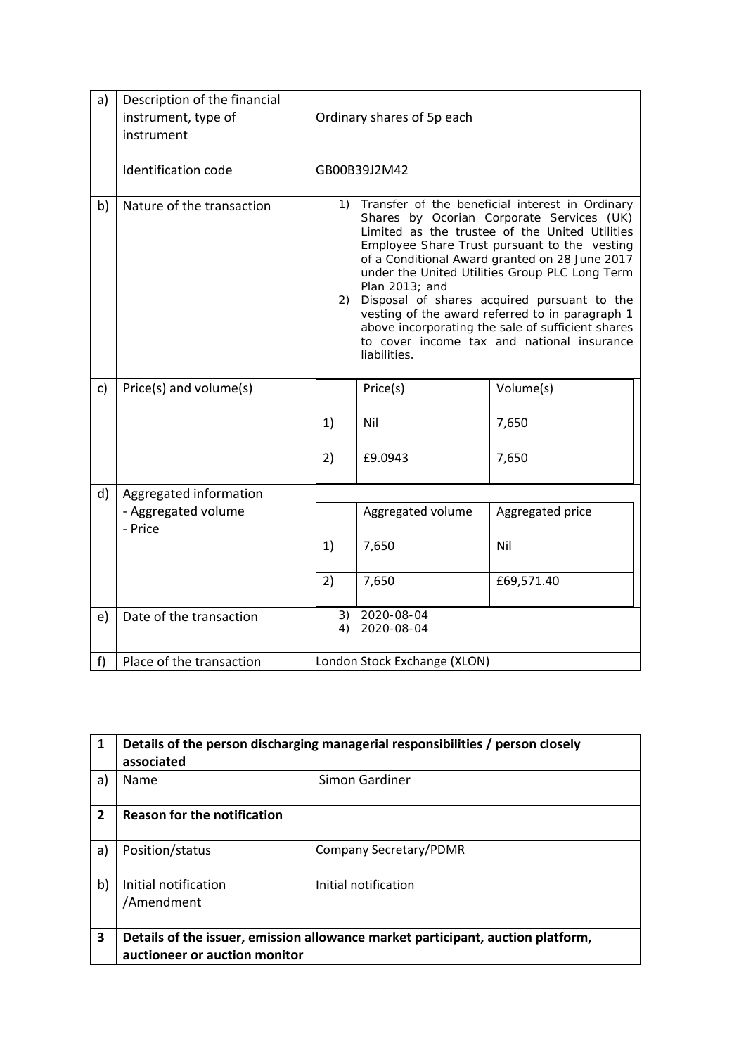| a)           | Description of the financial<br>instrument, type of<br>instrument | Ordinary shares of 5p each                                                                                                                                                                                                                                                                                                                                                                                                                                                                                                                               |                          |                  |  |  |
|--------------|-------------------------------------------------------------------|----------------------------------------------------------------------------------------------------------------------------------------------------------------------------------------------------------------------------------------------------------------------------------------------------------------------------------------------------------------------------------------------------------------------------------------------------------------------------------------------------------------------------------------------------------|--------------------------|------------------|--|--|
|              | <b>Identification code</b>                                        |                                                                                                                                                                                                                                                                                                                                                                                                                                                                                                                                                          | GB00B39J2M42             |                  |  |  |
| b)           | Nature of the transaction                                         | Transfer of the beneficial interest in Ordinary<br>1)<br>Shares by Ocorian Corporate Services (UK)<br>Limited as the trustee of the United Utilities<br>Employee Share Trust pursuant to the vesting<br>of a Conditional Award granted on 28 June 2017<br>under the United Utilities Group PLC Long Term<br>Plan $2013$ ; and<br>Disposal of shares acquired pursuant to the<br>2)<br>vesting of the award referred to in paragraph 1<br>above incorporating the sale of sufficient shares<br>to cover income tax and national insurance<br>liabilities. |                          |                  |  |  |
| $\mathsf{C}$ | Price(s) and volume(s)                                            |                                                                                                                                                                                                                                                                                                                                                                                                                                                                                                                                                          | Price(s)                 | Volume(s)        |  |  |
|              |                                                                   | 1)                                                                                                                                                                                                                                                                                                                                                                                                                                                                                                                                                       | Nil                      | 7,650            |  |  |
|              |                                                                   | 2)                                                                                                                                                                                                                                                                                                                                                                                                                                                                                                                                                       | £9.0943                  | 7,650            |  |  |
| d)           | Aggregated information                                            |                                                                                                                                                                                                                                                                                                                                                                                                                                                                                                                                                          |                          |                  |  |  |
|              | - Aggregated volume<br>- Price                                    |                                                                                                                                                                                                                                                                                                                                                                                                                                                                                                                                                          | Aggregated volume        | Aggregated price |  |  |
|              |                                                                   | 1)                                                                                                                                                                                                                                                                                                                                                                                                                                                                                                                                                       | 7,650                    | Nil              |  |  |
|              |                                                                   | 2)                                                                                                                                                                                                                                                                                                                                                                                                                                                                                                                                                       | 7,650                    | £69,571.40       |  |  |
| e)           | Date of the transaction                                           | 3)<br>4)                                                                                                                                                                                                                                                                                                                                                                                                                                                                                                                                                 | 2020-08-04<br>2020-08-04 |                  |  |  |
| f)           | Place of the transaction                                          | London Stock Exchange (XLON)                                                                                                                                                                                                                                                                                                                                                                                                                                                                                                                             |                          |                  |  |  |

| $\mathbf{1}$   | Details of the person discharging managerial responsibilities / person closely<br>associated                     |  |  |  |  |  |  |  |
|----------------|------------------------------------------------------------------------------------------------------------------|--|--|--|--|--|--|--|
| a)             | Simon Gardiner<br>Name                                                                                           |  |  |  |  |  |  |  |
| $\overline{2}$ | <b>Reason for the notification</b>                                                                               |  |  |  |  |  |  |  |
| a)             | Position/status<br>Company Secretary/PDMR                                                                        |  |  |  |  |  |  |  |
| b)             | Initial notification<br>Initial notification<br>/Amendment                                                       |  |  |  |  |  |  |  |
| 3              | Details of the issuer, emission allowance market participant, auction platform,<br>auctioneer or auction monitor |  |  |  |  |  |  |  |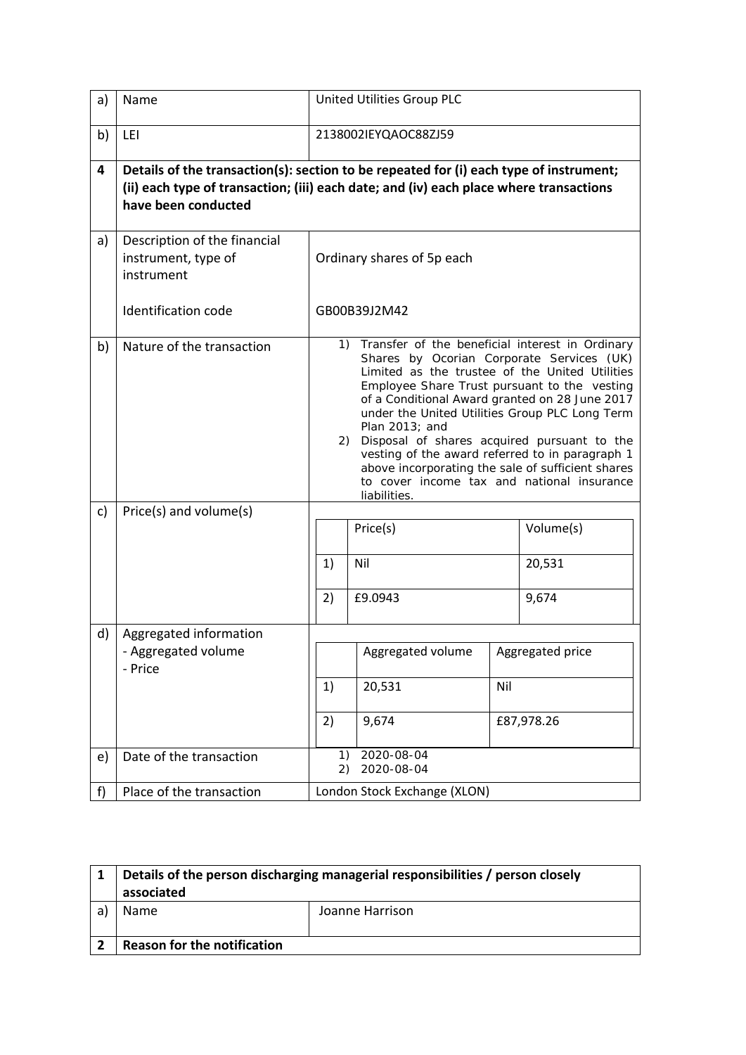| a) | Name                                                              | United Utilities Group PLC                                                                                                                                                                                                                                                                                                                                                                                                                                                                                                                         |                          |  |            |  |  |  |  |
|----|-------------------------------------------------------------------|----------------------------------------------------------------------------------------------------------------------------------------------------------------------------------------------------------------------------------------------------------------------------------------------------------------------------------------------------------------------------------------------------------------------------------------------------------------------------------------------------------------------------------------------------|--------------------------|--|------------|--|--|--|--|
| b) | LEI                                                               |                                                                                                                                                                                                                                                                                                                                                                                                                                                                                                                                                    | 2138002IEYQAOC88ZJ59     |  |            |  |  |  |  |
| 4  | have been conducted                                               | Details of the transaction(s): section to be repeated for (i) each type of instrument;<br>(ii) each type of transaction; (iii) each date; and (iv) each place where transactions                                                                                                                                                                                                                                                                                                                                                                   |                          |  |            |  |  |  |  |
| a) | Description of the financial<br>instrument, type of<br>instrument | Ordinary shares of 5p each                                                                                                                                                                                                                                                                                                                                                                                                                                                                                                                         |                          |  |            |  |  |  |  |
|    | Identification code                                               | GB00B39J2M42                                                                                                                                                                                                                                                                                                                                                                                                                                                                                                                                       |                          |  |            |  |  |  |  |
| b) | Nature of the transaction                                         | 1) Transfer of the beneficial interest in Ordinary<br>Shares by Ocorian Corporate Services (UK)<br>Limited as the trustee of the United Utilities<br>Employee Share Trust pursuant to the vesting<br>of a Conditional Award granted on 28 June 2017<br>under the United Utilities Group PLC Long Term<br>Plan 2013; and<br>Disposal of shares acquired pursuant to the<br>2)<br>vesting of the award referred to in paragraph 1<br>above incorporating the sale of sufficient shares<br>to cover income tax and national insurance<br>liabilities. |                          |  |            |  |  |  |  |
| c) | Price(s) and volume(s)                                            |                                                                                                                                                                                                                                                                                                                                                                                                                                                                                                                                                    | Price(s)                 |  | Volume(s)  |  |  |  |  |
|    |                                                                   | 1)                                                                                                                                                                                                                                                                                                                                                                                                                                                                                                                                                 | Nil                      |  | 20,531     |  |  |  |  |
|    |                                                                   | 2)                                                                                                                                                                                                                                                                                                                                                                                                                                                                                                                                                 | £9.0943                  |  | 9,674      |  |  |  |  |
| d) | Aggregated information<br>- Aggregated volume<br>- Price          | Aggregated volume<br>Aggregated price                                                                                                                                                                                                                                                                                                                                                                                                                                                                                                              |                          |  |            |  |  |  |  |
|    |                                                                   | 20,531<br>Nil<br>1)                                                                                                                                                                                                                                                                                                                                                                                                                                                                                                                                |                          |  |            |  |  |  |  |
|    |                                                                   | 2)                                                                                                                                                                                                                                                                                                                                                                                                                                                                                                                                                 | 9,674                    |  | £87,978.26 |  |  |  |  |
| e) | Date of the transaction                                           | 1)<br>2)                                                                                                                                                                                                                                                                                                                                                                                                                                                                                                                                           | 2020-08-04<br>2020-08-04 |  |            |  |  |  |  |
| f) | Place of the transaction                                          | London Stock Exchange (XLON)                                                                                                                                                                                                                                                                                                                                                                                                                                                                                                                       |                          |  |            |  |  |  |  |

| Details of the person discharging managerial responsibilities / person closely<br>associated |                 |  |  |  |  |  |
|----------------------------------------------------------------------------------------------|-----------------|--|--|--|--|--|
| <b>Name</b>                                                                                  | Joanne Harrison |  |  |  |  |  |
|                                                                                              |                 |  |  |  |  |  |
| <b>Reason for the notification</b>                                                           |                 |  |  |  |  |  |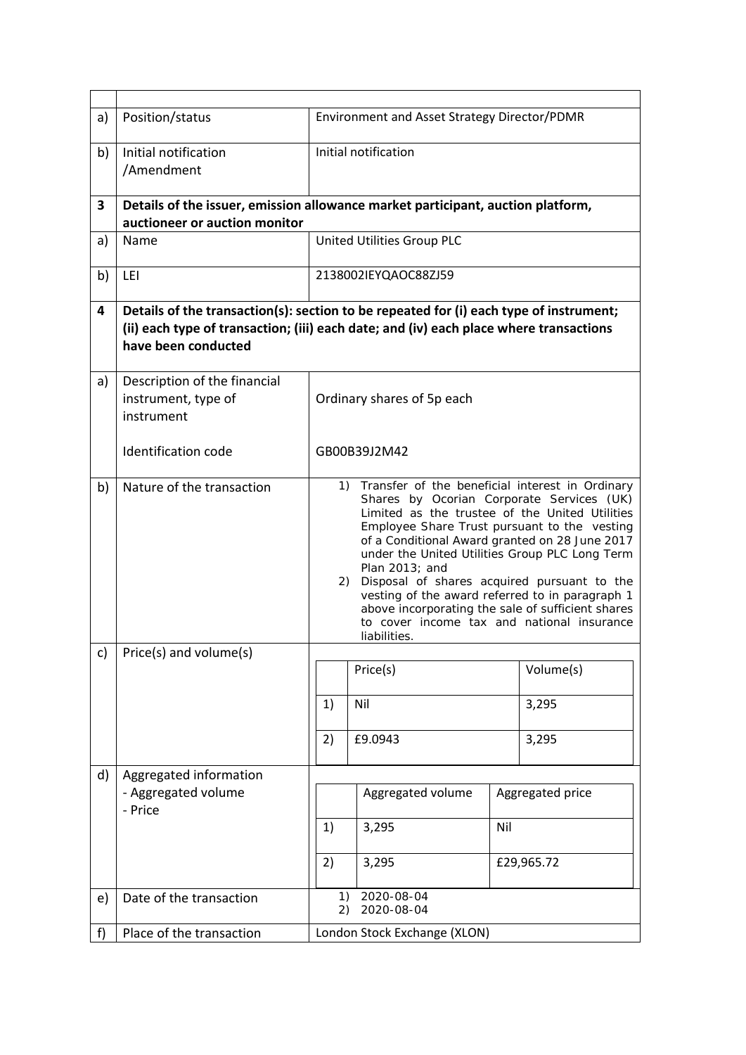| a) | Position/status                                                                                                  |                                                                                                                                                                                                                                                                                                                                                                                                                                                                                                                                                    | Environment and Asset Strategy Director/PDMR                                                                                                                                     |     |                  |  |  |  |
|----|------------------------------------------------------------------------------------------------------------------|----------------------------------------------------------------------------------------------------------------------------------------------------------------------------------------------------------------------------------------------------------------------------------------------------------------------------------------------------------------------------------------------------------------------------------------------------------------------------------------------------------------------------------------------------|----------------------------------------------------------------------------------------------------------------------------------------------------------------------------------|-----|------------------|--|--|--|
| b) | Initial notification<br>/Amendment                                                                               |                                                                                                                                                                                                                                                                                                                                                                                                                                                                                                                                                    | Initial notification                                                                                                                                                             |     |                  |  |  |  |
| 3  | Details of the issuer, emission allowance market participant, auction platform,<br>auctioneer or auction monitor |                                                                                                                                                                                                                                                                                                                                                                                                                                                                                                                                                    |                                                                                                                                                                                  |     |                  |  |  |  |
| a) | Name                                                                                                             |                                                                                                                                                                                                                                                                                                                                                                                                                                                                                                                                                    | United Utilities Group PLC                                                                                                                                                       |     |                  |  |  |  |
| b) | LEI                                                                                                              |                                                                                                                                                                                                                                                                                                                                                                                                                                                                                                                                                    | 2138002IEYQAOC88ZJ59                                                                                                                                                             |     |                  |  |  |  |
| 4  | have been conducted                                                                                              |                                                                                                                                                                                                                                                                                                                                                                                                                                                                                                                                                    | Details of the transaction(s): section to be repeated for (i) each type of instrument;<br>(ii) each type of transaction; (iii) each date; and (iv) each place where transactions |     |                  |  |  |  |
| a) | Description of the financial<br>instrument, type of<br>instrument                                                | Ordinary shares of 5p each                                                                                                                                                                                                                                                                                                                                                                                                                                                                                                                         |                                                                                                                                                                                  |     |                  |  |  |  |
|    | Identification code                                                                                              | GB00B39J2M42                                                                                                                                                                                                                                                                                                                                                                                                                                                                                                                                       |                                                                                                                                                                                  |     |                  |  |  |  |
| b) | Nature of the transaction                                                                                        | 1) Transfer of the beneficial interest in Ordinary<br>Shares by Ocorian Corporate Services (UK)<br>Limited as the trustee of the United Utilities<br>Employee Share Trust pursuant to the vesting<br>of a Conditional Award granted on 28 June 2017<br>under the United Utilities Group PLC Long Term<br>Plan 2013; and<br>Disposal of shares acquired pursuant to the<br>2)<br>vesting of the award referred to in paragraph 1<br>above incorporating the sale of sufficient shares<br>to cover income tax and national insurance<br>liabilities. |                                                                                                                                                                                  |     |                  |  |  |  |
| c) | Price(s) and volume(s)                                                                                           |                                                                                                                                                                                                                                                                                                                                                                                                                                                                                                                                                    | Price(s)                                                                                                                                                                         |     | Volume(s)        |  |  |  |
|    |                                                                                                                  | 1)                                                                                                                                                                                                                                                                                                                                                                                                                                                                                                                                                 | Nil                                                                                                                                                                              |     | 3,295            |  |  |  |
|    |                                                                                                                  | 2)                                                                                                                                                                                                                                                                                                                                                                                                                                                                                                                                                 | £9.0943                                                                                                                                                                          |     | 3,295            |  |  |  |
| d) | Aggregated information<br>- Aggregated volume<br>- Price                                                         |                                                                                                                                                                                                                                                                                                                                                                                                                                                                                                                                                    | Aggregated volume                                                                                                                                                                |     | Aggregated price |  |  |  |
|    |                                                                                                                  | 1)                                                                                                                                                                                                                                                                                                                                                                                                                                                                                                                                                 | 3,295                                                                                                                                                                            | Nil |                  |  |  |  |
|    |                                                                                                                  | 2)                                                                                                                                                                                                                                                                                                                                                                                                                                                                                                                                                 | 3,295                                                                                                                                                                            |     | £29,965.72       |  |  |  |
| e) | Date of the transaction                                                                                          | 1)<br>2)                                                                                                                                                                                                                                                                                                                                                                                                                                                                                                                                           | 2020-08-04<br>2020-08-04                                                                                                                                                         |     |                  |  |  |  |
| f) | Place of the transaction                                                                                         | London Stock Exchange (XLON)                                                                                                                                                                                                                                                                                                                                                                                                                                                                                                                       |                                                                                                                                                                                  |     |                  |  |  |  |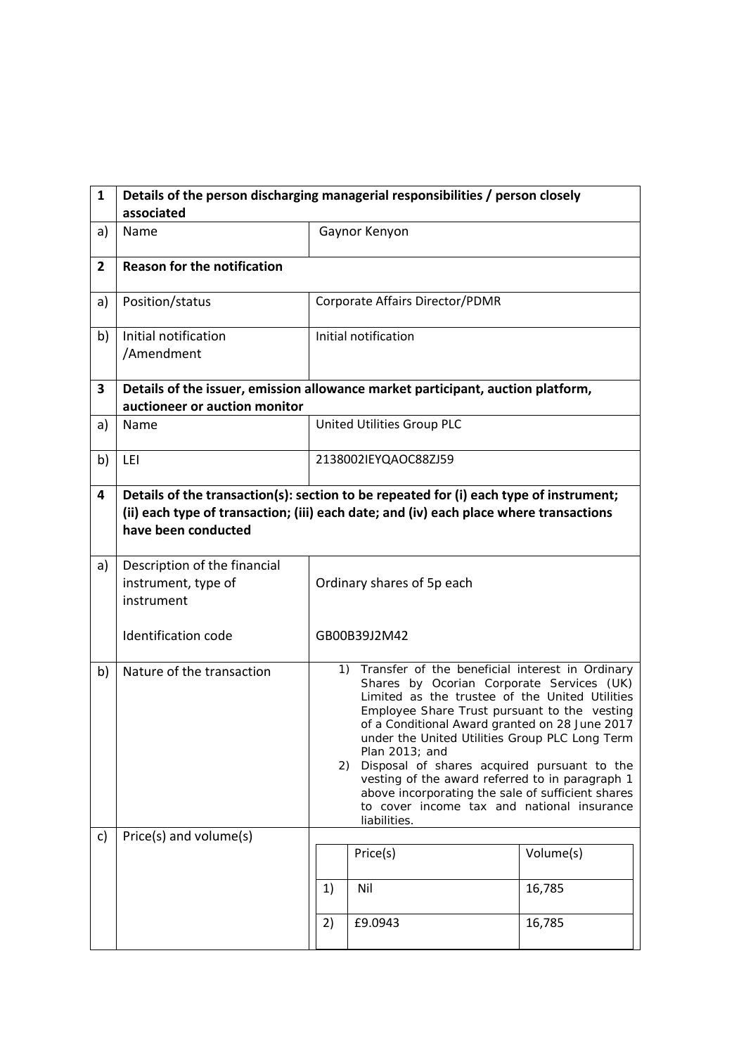| $\mathbf{1}$   | Details of the person discharging managerial responsibilities / person closely<br>associated                                                                                                            |                                                                                                                                                                                                                                                                                                                                                                                                                                                                                                                                                    |                                 |           |  |  |
|----------------|---------------------------------------------------------------------------------------------------------------------------------------------------------------------------------------------------------|----------------------------------------------------------------------------------------------------------------------------------------------------------------------------------------------------------------------------------------------------------------------------------------------------------------------------------------------------------------------------------------------------------------------------------------------------------------------------------------------------------------------------------------------------|---------------------------------|-----------|--|--|
| a)             | Name                                                                                                                                                                                                    |                                                                                                                                                                                                                                                                                                                                                                                                                                                                                                                                                    | Gaynor Kenyon                   |           |  |  |
| $\overline{2}$ | <b>Reason for the notification</b>                                                                                                                                                                      |                                                                                                                                                                                                                                                                                                                                                                                                                                                                                                                                                    |                                 |           |  |  |
| a)             | Position/status                                                                                                                                                                                         |                                                                                                                                                                                                                                                                                                                                                                                                                                                                                                                                                    | Corporate Affairs Director/PDMR |           |  |  |
| b)             | Initial notification<br>/Amendment                                                                                                                                                                      | Initial notification                                                                                                                                                                                                                                                                                                                                                                                                                                                                                                                               |                                 |           |  |  |
| 3              | Details of the issuer, emission allowance market participant, auction platform,<br>auctioneer or auction monitor                                                                                        |                                                                                                                                                                                                                                                                                                                                                                                                                                                                                                                                                    |                                 |           |  |  |
| a)             | Name                                                                                                                                                                                                    |                                                                                                                                                                                                                                                                                                                                                                                                                                                                                                                                                    | United Utilities Group PLC      |           |  |  |
| b)             | LEI                                                                                                                                                                                                     | 2138002IEYQAOC88ZJ59                                                                                                                                                                                                                                                                                                                                                                                                                                                                                                                               |                                 |           |  |  |
| 4              | Details of the transaction(s): section to be repeated for (i) each type of instrument;<br>(ii) each type of transaction; (iii) each date; and (iv) each place where transactions<br>have been conducted |                                                                                                                                                                                                                                                                                                                                                                                                                                                                                                                                                    |                                 |           |  |  |
| a)             | Description of the financial<br>instrument, type of<br>instrument<br><b>Identification code</b>                                                                                                         | Ordinary shares of 5p each<br>GB00B39J2M42                                                                                                                                                                                                                                                                                                                                                                                                                                                                                                         |                                 |           |  |  |
| b)             | Nature of the transaction                                                                                                                                                                               | 1) Transfer of the beneficial interest in Ordinary<br>Shares by Ocorian Corporate Services (UK)<br>Limited as the trustee of the United Utilities<br>Employee Share Trust pursuant to the vesting<br>of a Conditional Award granted on 28 June 2017<br>under the United Utilities Group PLC Long Term<br>Plan 2013; and<br>Disposal of shares acquired pursuant to the<br>2)<br>vesting of the award referred to in paragraph 1<br>above incorporating the sale of sufficient shares<br>to cover income tax and national insurance<br>liabilities. |                                 |           |  |  |
| c)             | Price(s) and volume(s)                                                                                                                                                                                  |                                                                                                                                                                                                                                                                                                                                                                                                                                                                                                                                                    | Price(s)                        | Volume(s) |  |  |
|                |                                                                                                                                                                                                         | 1)                                                                                                                                                                                                                                                                                                                                                                                                                                                                                                                                                 | Nil                             | 16,785    |  |  |
|                |                                                                                                                                                                                                         | 2)                                                                                                                                                                                                                                                                                                                                                                                                                                                                                                                                                 | £9.0943                         | 16,785    |  |  |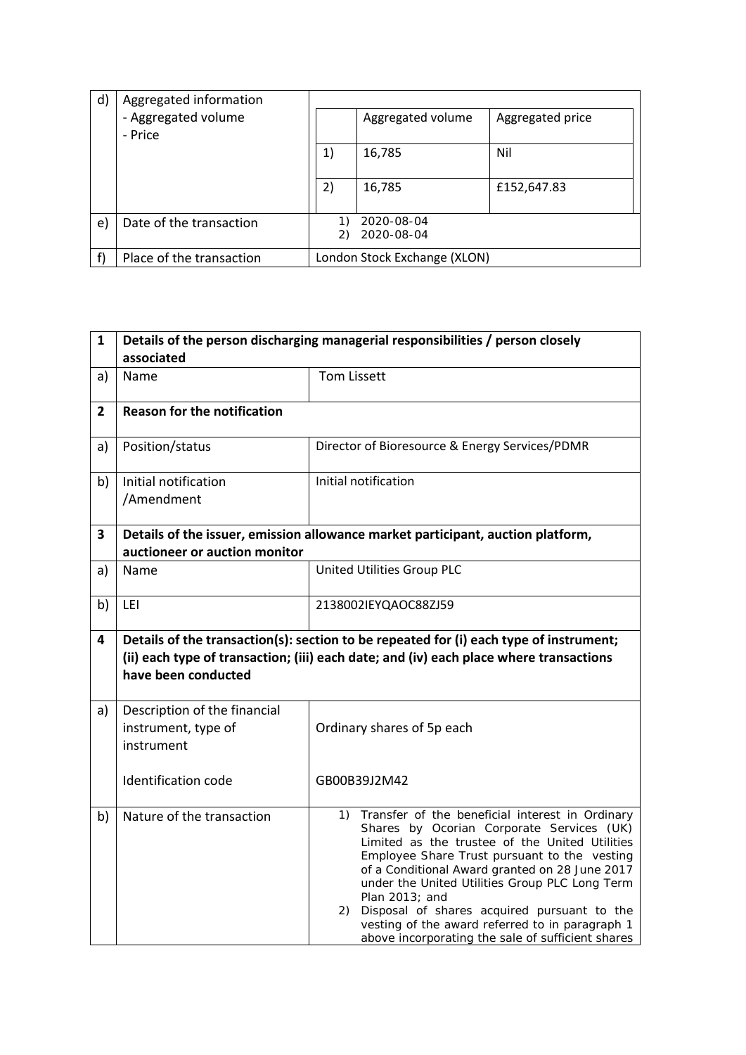| $\mathsf{d}$ | Aggregated information   |    |                              |                  |
|--------------|--------------------------|----|------------------------------|------------------|
|              | - Aggregated volume      |    | Aggregated volume            | Aggregated price |
|              | - Price                  |    |                              |                  |
|              |                          | 1) | 16,785                       | Nil              |
|              |                          |    |                              |                  |
|              |                          | 2) | 16,785                       | £152,647.83      |
|              |                          |    |                              |                  |
| e)           | Date of the transaction  |    | 2020-08-04                   |                  |
|              |                          | 2) | 2020-08-04                   |                  |
|              | Place of the transaction |    | London Stock Exchange (XLON) |                  |

| $\mathbf{1}$   | Details of the person discharging managerial responsibilities / person closely<br>associated                     |                                                                                                                                                                                                                                                                                                                                                                                                                                                                                          |  |  |  |  |
|----------------|------------------------------------------------------------------------------------------------------------------|------------------------------------------------------------------------------------------------------------------------------------------------------------------------------------------------------------------------------------------------------------------------------------------------------------------------------------------------------------------------------------------------------------------------------------------------------------------------------------------|--|--|--|--|
| a)             | Name                                                                                                             | <b>Tom Lissett</b>                                                                                                                                                                                                                                                                                                                                                                                                                                                                       |  |  |  |  |
| $\overline{2}$ | <b>Reason for the notification</b>                                                                               |                                                                                                                                                                                                                                                                                                                                                                                                                                                                                          |  |  |  |  |
| a)             | Position/status                                                                                                  | Director of Bioresource & Energy Services/PDMR                                                                                                                                                                                                                                                                                                                                                                                                                                           |  |  |  |  |
| b)             | Initial notification<br>/Amendment                                                                               | Initial notification                                                                                                                                                                                                                                                                                                                                                                                                                                                                     |  |  |  |  |
| 3              | Details of the issuer, emission allowance market participant, auction platform,<br>auctioneer or auction monitor |                                                                                                                                                                                                                                                                                                                                                                                                                                                                                          |  |  |  |  |
| a)             | Name                                                                                                             | United Utilities Group PLC                                                                                                                                                                                                                                                                                                                                                                                                                                                               |  |  |  |  |
| b)             | LEI                                                                                                              | 2138002IEYQAOC88ZJ59                                                                                                                                                                                                                                                                                                                                                                                                                                                                     |  |  |  |  |
| 4              | have been conducted                                                                                              | Details of the transaction(s): section to be repeated for (i) each type of instrument;<br>(ii) each type of transaction; (iii) each date; and (iv) each place where transactions                                                                                                                                                                                                                                                                                                         |  |  |  |  |
| a)             | Description of the financial<br>instrument, type of<br>instrument                                                | Ordinary shares of 5p each                                                                                                                                                                                                                                                                                                                                                                                                                                                               |  |  |  |  |
|                | Identification code                                                                                              | GB00B39J2M42                                                                                                                                                                                                                                                                                                                                                                                                                                                                             |  |  |  |  |
| b)             | Nature of the transaction                                                                                        | Transfer of the beneficial interest in Ordinary<br>1)<br>Shares by Ocorian Corporate Services (UK)<br>Limited as the trustee of the United Utilities<br>Employee Share Trust pursuant to the vesting<br>of a Conditional Award granted on 28 June 2017<br>under the United Utilities Group PLC Long Term<br>Plan 2013; and<br>Disposal of shares acquired pursuant to the<br>2).<br>vesting of the award referred to in paragraph 1<br>above incorporating the sale of sufficient shares |  |  |  |  |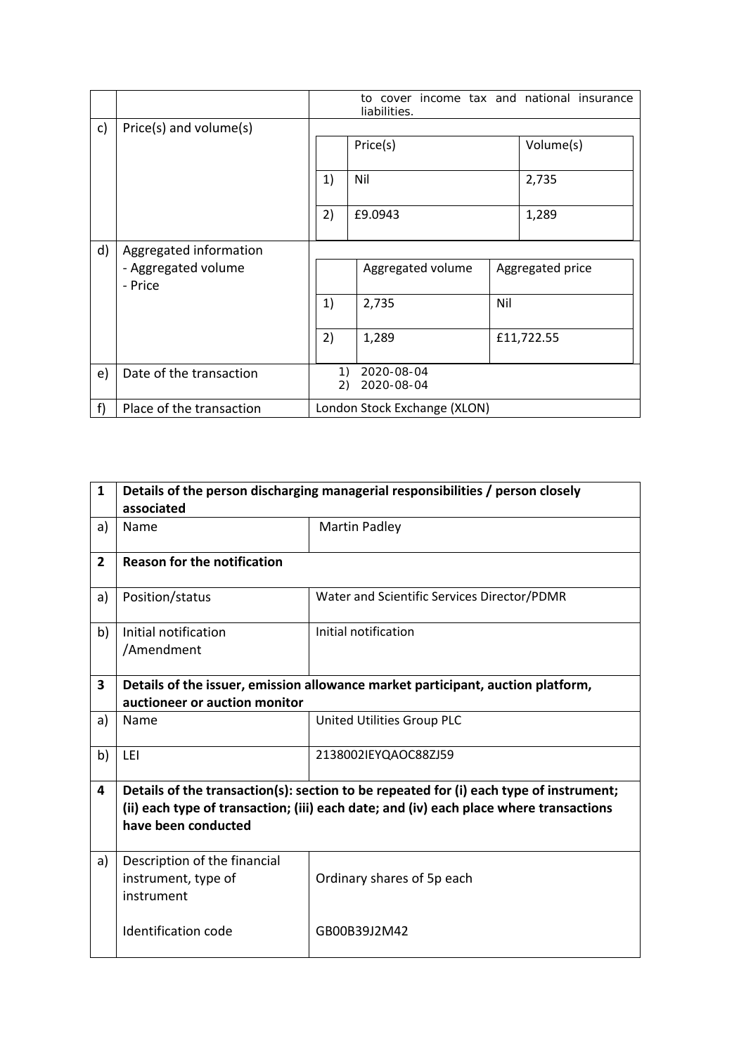|    |                                |                                                      | to cover income tax and national insurance<br>liabilities. |     |                  |
|----|--------------------------------|------------------------------------------------------|------------------------------------------------------------|-----|------------------|
| c) | Price(s) and volume(s)         |                                                      |                                                            |     |                  |
|    |                                |                                                      | Price(s)                                                   |     | Volume(s)        |
|    |                                | 1)                                                   | Nil                                                        |     | 2,735            |
|    |                                | 2)                                                   | £9.0943                                                    |     | 1,289            |
| d) | Aggregated information         |                                                      |                                                            |     |                  |
|    | - Aggregated volume<br>- Price |                                                      | Aggregated volume                                          |     | Aggregated price |
|    |                                | 1)                                                   | 2,735                                                      | Nil |                  |
|    |                                | 2)                                                   | 1,289                                                      |     | £11,722.55       |
| e) | Date of the transaction        | $\left( \begin{matrix} 1 \end{matrix} \right)$<br>2) | 2020-08-04<br>2020-08-04                                   |     |                  |
| f  | Place of the transaction       |                                                      | London Stock Exchange (XLON)                               |     |                  |

| $\mathbf{1}$   | Details of the person discharging managerial responsibilities / person closely                                                                                                                          |                                             |  |  |  |  |
|----------------|---------------------------------------------------------------------------------------------------------------------------------------------------------------------------------------------------------|---------------------------------------------|--|--|--|--|
|                | associated                                                                                                                                                                                              |                                             |  |  |  |  |
| a)             | Name                                                                                                                                                                                                    | Martin Padley                               |  |  |  |  |
| $\overline{2}$ | <b>Reason for the notification</b>                                                                                                                                                                      |                                             |  |  |  |  |
| a)             | Position/status                                                                                                                                                                                         | Water and Scientific Services Director/PDMR |  |  |  |  |
| b)             | Initial notification<br>/Amendment                                                                                                                                                                      | Initial notification                        |  |  |  |  |
| 3              | Details of the issuer, emission allowance market participant, auction platform,<br>auctioneer or auction monitor                                                                                        |                                             |  |  |  |  |
| a)             | Name                                                                                                                                                                                                    | <b>United Utilities Group PLC</b>           |  |  |  |  |
| b)             | LEI                                                                                                                                                                                                     | 2138002IEYQAOC88ZJ59                        |  |  |  |  |
| 4              | Details of the transaction(s): section to be repeated for (i) each type of instrument;<br>(ii) each type of transaction; (iii) each date; and (iv) each place where transactions<br>have been conducted |                                             |  |  |  |  |
| a)             | Description of the financial<br>instrument, type of<br>instrument                                                                                                                                       | Ordinary shares of 5p each                  |  |  |  |  |
|                | Identification code                                                                                                                                                                                     | GB00B39J2M42                                |  |  |  |  |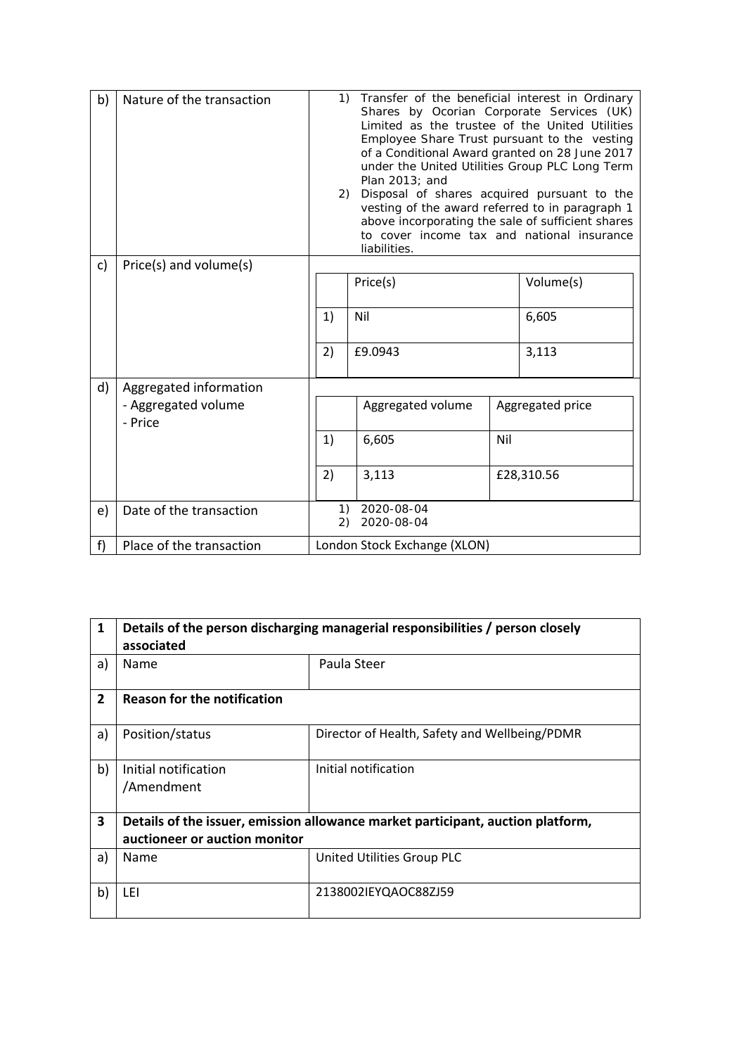| b) | Nature of the transaction      | 1)<br>Transfer of the beneficial interest in Ordinary<br>Shares by Ocorian Corporate Services (UK)<br>Limited as the trustee of the United Utilities<br>Employee Share Trust pursuant to the vesting<br>of a Conditional Award granted on 28 June 2017<br>under the United Utilities Group PLC Long Term<br>Plan 2013; and<br>Disposal of shares acquired pursuant to the<br>2)<br>vesting of the award referred to in paragraph 1<br>above incorporating the sale of sufficient shares<br>to cover income tax and national insurance<br>liabilities. |                              |     |                  |
|----|--------------------------------|-------------------------------------------------------------------------------------------------------------------------------------------------------------------------------------------------------------------------------------------------------------------------------------------------------------------------------------------------------------------------------------------------------------------------------------------------------------------------------------------------------------------------------------------------------|------------------------------|-----|------------------|
| c) | Price(s) and volume(s)         |                                                                                                                                                                                                                                                                                                                                                                                                                                                                                                                                                       |                              |     |                  |
|    |                                |                                                                                                                                                                                                                                                                                                                                                                                                                                                                                                                                                       | Price(s)                     |     | Volume(s)        |
|    |                                | 1)                                                                                                                                                                                                                                                                                                                                                                                                                                                                                                                                                    | Nil                          |     | 6,605            |
|    |                                | 2)                                                                                                                                                                                                                                                                                                                                                                                                                                                                                                                                                    | £9.0943                      |     | 3,113            |
| d) | Aggregated information         |                                                                                                                                                                                                                                                                                                                                                                                                                                                                                                                                                       |                              |     |                  |
|    | - Aggregated volume<br>- Price |                                                                                                                                                                                                                                                                                                                                                                                                                                                                                                                                                       | Aggregated volume            |     | Aggregated price |
|    |                                | 1)                                                                                                                                                                                                                                                                                                                                                                                                                                                                                                                                                    | 6,605                        | Nil |                  |
|    |                                | 2)                                                                                                                                                                                                                                                                                                                                                                                                                                                                                                                                                    | 3,113                        |     | £28,310.56       |
| e) | Date of the transaction        | $\left( \begin{matrix} 1 \end{matrix} \right)$<br>2)                                                                                                                                                                                                                                                                                                                                                                                                                                                                                                  | 2020-08-04<br>2020-08-04     |     |                  |
| f  | Place of the transaction       |                                                                                                                                                                                                                                                                                                                                                                                                                                                                                                                                                       | London Stock Exchange (XLON) |     |                  |

| $\mathbf{1}$   | Details of the person discharging managerial responsibilities / person closely<br>associated |                                               |  |  |  |  |  |
|----------------|----------------------------------------------------------------------------------------------|-----------------------------------------------|--|--|--|--|--|
| a)             | <b>Name</b>                                                                                  | Paula Steer                                   |  |  |  |  |  |
| $\overline{2}$ | <b>Reason for the notification</b>                                                           |                                               |  |  |  |  |  |
| a)             | Position/status                                                                              | Director of Health, Safety and Wellbeing/PDMR |  |  |  |  |  |
| b)             | Initial notification<br>/Amendment                                                           | Initial notification                          |  |  |  |  |  |
| 3              | Details of the issuer, emission allowance market participant, auction platform,              |                                               |  |  |  |  |  |
|                | auctioneer or auction monitor                                                                |                                               |  |  |  |  |  |
| a)             | <b>Name</b>                                                                                  | United Utilities Group PLC                    |  |  |  |  |  |
| b)             | LEI                                                                                          | 2138002IEYQAOC88ZJ59                          |  |  |  |  |  |